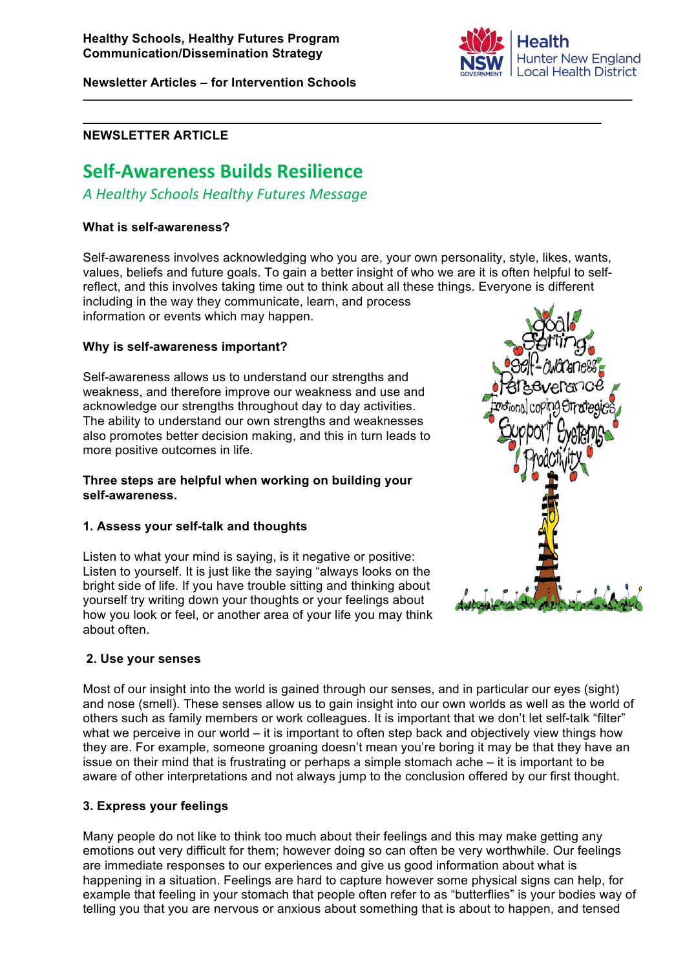**Newsletter Articles – for Intervention Schools**



## **NEWSLETTER ARTICLE**

# **Self%Awareness,Builds,Resilience**

*A"Healthy"Schools"Healthy"Futures Message*

### **What is self-awareness?**

Self-awareness involves acknowledging who you are, your own personality, style, likes, wants, values, beliefs and future goals. To gain a better insight of who we are it is often helpful to selfreflect, and this involves taking time out to think about all these things. Everyone is different including in the way they communicate, learn, and process information or events which may happen.

**Why is self-awareness important?**

Self-awareness allows us to understand our strengths and weakness, and therefore improve our weakness and use and acknowledge our strengths throughout day to day activities. The ability to understand our own strengths and weaknesses also promotes better decision making, and this in turn leads to more positive outcomes in life.

#### **Three steps are helpful when working on building your self-awareness.**

## **1. Assess your self-talk and thoughts**

Listen to what your mind is saying, is it negative or positive: Listen to yourself. It is just like the saying "always looks on the bright side of life. If you have trouble sitting and thinking about yourself try writing down your thoughts or your feelings about how you look or feel, or another area of your life you may think about often.



Most of our insight into the world is gained through our senses, and in particular our eyes (sight) and nose (smell). These senses allow us to gain insight into our own worlds as well as the world of others such as family members or work colleagues. It is important that we don't let self-talk "filter" what we perceive in our world – it is important to often step back and objectively view things how they are. For example, someone groaning doesn't mean you're boring it may be that they have an issue on their mind that is frustrating or perhaps a simple stomach ache – it is important to be aware of other interpretations and not always jump to the conclusion offered by our first thought.

## **3. Express your feelings**

Many people do not like to think too much about their feelings and this may make getting any emotions out very difficult for them; however doing so can often be very worthwhile. Our feelings are immediate responses to our experiences and give us good information about what is happening in a situation. Feelings are hard to capture however some physical signs can help, for example that feeling in your stomach that people often refer to as "butterflies" is your bodies way of telling you that you are nervous or anxious about something that is about to happen, and tensed